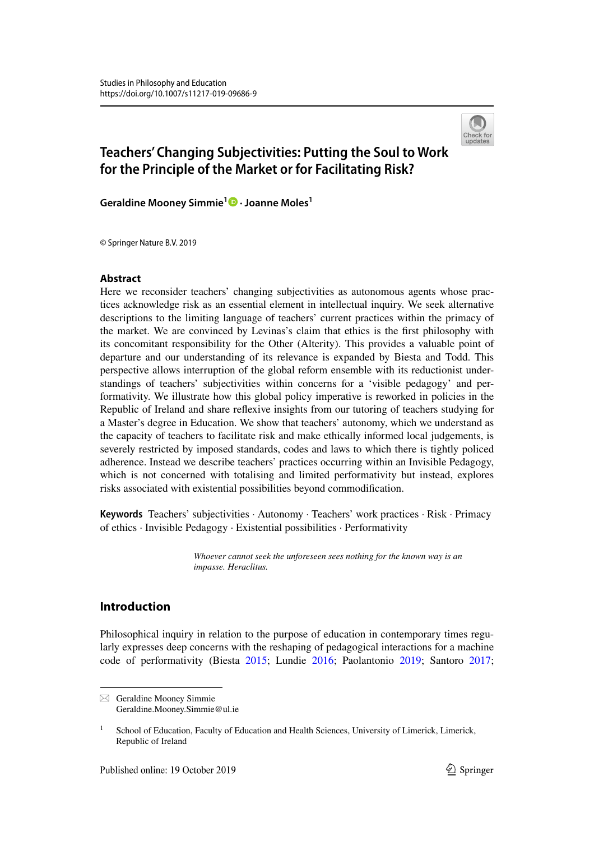

# **Teachers' Changing Subjectivities: Putting the Soul to Work for the Principle of the Market or for Facilitating Risk?**

**Geraldine Mooney Simmie1 · Joanne Moles1**

© Springer Nature B.V. 2019

# **Abstract**

Here we reconsider teachers' changing subjectivities as autonomous agents whose practices acknowledge risk as an essential element in intellectual inquiry. We seek alternative descriptions to the limiting language of teachers' current practices within the primacy of the market. We are convinced by Levinas's claim that ethics is the first philosophy with its concomitant responsibility for the Other (Alterity). This provides a valuable point of departure and our understanding of its relevance is expanded by Biesta and Todd. This perspective allows interruption of the global reform ensemble with its reductionist understandings of teachers' subjectivities within concerns for a 'visible pedagogy' and performativity. We illustrate how this global policy imperative is reworked in policies in the Republic of Ireland and share reflexive insights from our tutoring of teachers studying for a Master's degree in Education. We show that teachers' autonomy, which we understand as the capacity of teachers to facilitate risk and make ethically informed local judgements, is severely restricted by imposed standards, codes and laws to which there is tightly policed adherence. Instead we describe teachers' practices occurring within an Invisible Pedagogy, which is not concerned with totalising and limited performativity but instead, explores risks associated with existential possibilities beyond commodification.

**Keywords** Teachers' subjectivities · Autonomy · Teachers' work practices · Risk · Primacy of ethics · Invisible Pedagogy · Existential possibilities · Performativity

> *Whoever cannot seek the unforeseen sees nothing for the known way is an impasse. Heraclitus.*

# **Introduction**

Philosophical inquiry in relation to the purpose of education in contemporary times regularly expresses deep concerns with the reshaping of pedagogical interactions for a machine code of performativity (Biesta 2015; Lundie 2016; Paolantonio 2019; Santoro 2017;

 $\boxtimes$  Geraldine Mooney Simmie Geraldine.Mooney.Simmie@ul.ie

<sup>1</sup> School of Education, Faculty of Education and Health Sciences, University of Limerick, Limerick, Republic of Ireland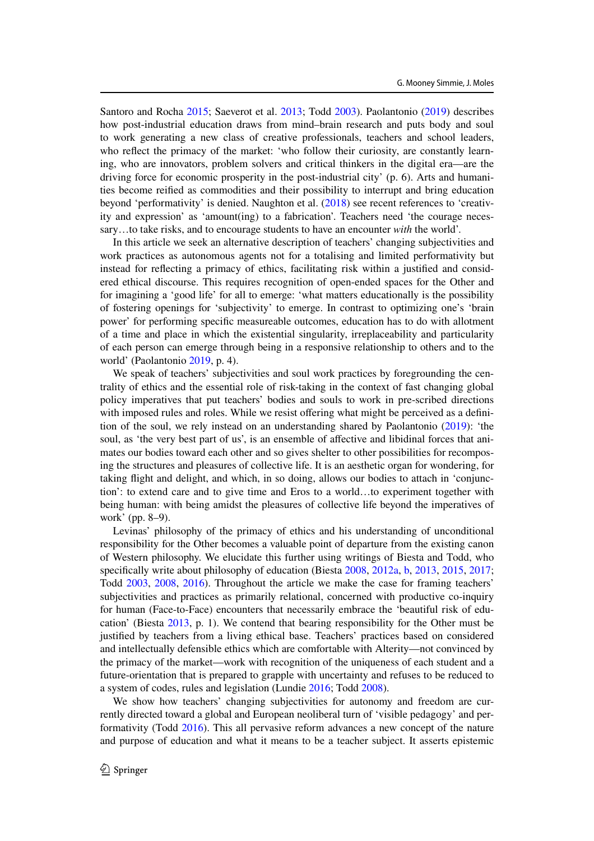Santoro and Rocha 2015; Saeverot et al. 2013; Todd 2003). Paolantonio (2019) describes how post-industrial education draws from mind–brain research and puts body and soul to work generating a new class of creative professionals, teachers and school leaders, who reflect the primacy of the market: 'who follow their curiosity, are constantly learning, who are innovators, problem solvers and critical thinkers in the digital era—are the driving force for economic prosperity in the post-industrial city' (p. 6). Arts and humanities become reified as commodities and their possibility to interrupt and bring education beyond 'performativity' is denied. Naughton et al. (2018) see recent references to 'creativity and expression' as 'amount(ing) to a fabrication'. Teachers need 'the courage necessary…to take risks, and to encourage students to have an encounter *with* the world'.

In this article we seek an alternative description of teachers' changing subjectivities and work practices as autonomous agents not for a totalising and limited performativity but instead for reflecting a primacy of ethics, facilitating risk within a justified and considered ethical discourse. This requires recognition of open-ended spaces for the Other and for imagining a 'good life' for all to emerge: 'what matters educationally is the possibility of fostering openings for 'subjectivity' to emerge. In contrast to optimizing one's 'brain power' for performing specific measureable outcomes, education has to do with allotment of a time and place in which the existential singularity, irreplaceability and particularity of each person can emerge through being in a responsive relationship to others and to the world' (Paolantonio 2019, p. 4).

We speak of teachers' subjectivities and soul work practices by foregrounding the centrality of ethics and the essential role of risk-taking in the context of fast changing global policy imperatives that put teachers' bodies and souls to work in pre-scribed directions with imposed rules and roles. While we resist offering what might be perceived as a definition of the soul, we rely instead on an understanding shared by Paolantonio (2019): 'the soul, as 'the very best part of us', is an ensemble of affective and libidinal forces that animates our bodies toward each other and so gives shelter to other possibilities for recomposing the structures and pleasures of collective life. It is an aesthetic organ for wondering, for taking flight and delight, and which, in so doing, allows our bodies to attach in 'conjunction': to extend care and to give time and Eros to a world…to experiment together with being human: with being amidst the pleasures of collective life beyond the imperatives of work' (pp. 8–9).

Levinas' philosophy of the primacy of ethics and his understanding of unconditional responsibility for the Other becomes a valuable point of departure from the existing canon of Western philosophy. We elucidate this further using writings of Biesta and Todd, who specifically write about philosophy of education (Biesta 2008, 2012a, b, 2013, 2015, 2017; Todd 2003, 2008, 2016). Throughout the article we make the case for framing teachers' subjectivities and practices as primarily relational, concerned with productive co-inquiry for human (Face-to-Face) encounters that necessarily embrace the 'beautiful risk of education' (Biesta 2013, p. 1). We contend that bearing responsibility for the Other must be justified by teachers from a living ethical base. Teachers' practices based on considered and intellectually defensible ethics which are comfortable with Alterity—not convinced by the primacy of the market—work with recognition of the uniqueness of each student and a future-orientation that is prepared to grapple with uncertainty and refuses to be reduced to a system of codes, rules and legislation (Lundie 2016; Todd 2008).

We show how teachers' changing subjectivities for autonomy and freedom are currently directed toward a global and European neoliberal turn of 'visible pedagogy' and performativity (Todd 2016). This all pervasive reform advances a new concept of the nature and purpose of education and what it means to be a teacher subject. It asserts epistemic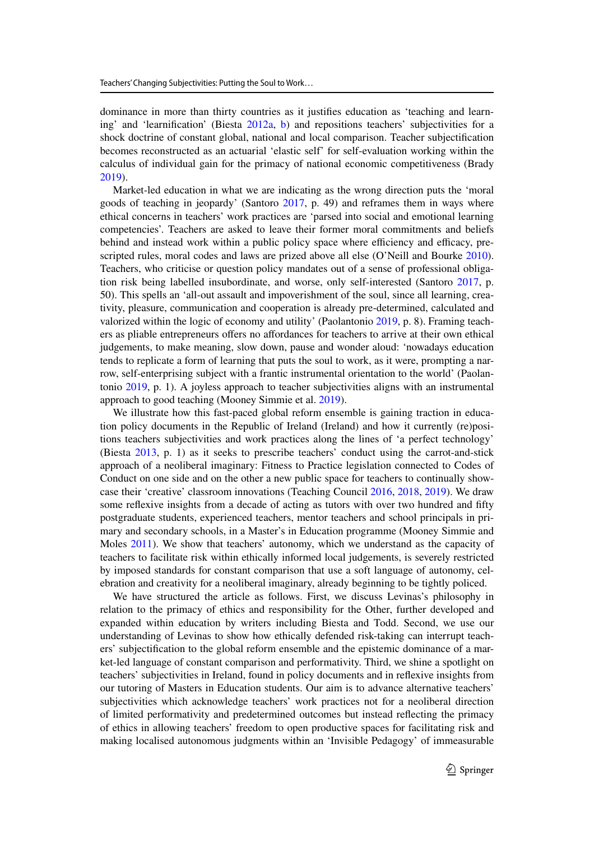dominance in more than thirty countries as it justifies education as 'teaching and learning' and 'learnification' (Biesta 2012a, b) and repositions teachers' subjectivities for a shock doctrine of constant global, national and local comparison. Teacher subjectification becomes reconstructed as an actuarial 'elastic self' for self-evaluation working within the calculus of individual gain for the primacy of national economic competitiveness (Brady 2019).

Market-led education in what we are indicating as the wrong direction puts the 'moral goods of teaching in jeopardy' (Santoro 2017, p. 49) and reframes them in ways where ethical concerns in teachers' work practices are 'parsed into social and emotional learning competencies'. Teachers are asked to leave their former moral commitments and beliefs behind and instead work within a public policy space where efficiency and efficacy, prescripted rules, moral codes and laws are prized above all else (O'Neill and Bourke 2010). Teachers, who criticise or question policy mandates out of a sense of professional obligation risk being labelled insubordinate, and worse, only self-interested (Santoro 2017, p. 50). This spells an 'all-out assault and impoverishment of the soul, since all learning, creativity, pleasure, communication and cooperation is already pre-determined, calculated and valorized within the logic of economy and utility' (Paolantonio 2019, p. 8). Framing teachers as pliable entrepreneurs offers no affordances for teachers to arrive at their own ethical judgements, to make meaning, slow down, pause and wonder aloud: 'nowadays education tends to replicate a form of learning that puts the soul to work, as it were, prompting a narrow, self-enterprising subject with a frantic instrumental orientation to the world' (Paolantonio 2019, p. 1). A joyless approach to teacher subjectivities aligns with an instrumental approach to good teaching (Mooney Simmie et al. 2019).

We illustrate how this fast-paced global reform ensemble is gaining traction in education policy documents in the Republic of Ireland (Ireland) and how it currently (re)positions teachers subjectivities and work practices along the lines of 'a perfect technology' (Biesta 2013, p. 1) as it seeks to prescribe teachers' conduct using the carrot-and-stick approach of a neoliberal imaginary: Fitness to Practice legislation connected to Codes of Conduct on one side and on the other a new public space for teachers to continually showcase their 'creative' classroom innovations (Teaching Council 2016, 2018, 2019). We draw some reflexive insights from a decade of acting as tutors with over two hundred and fifty postgraduate students, experienced teachers, mentor teachers and school principals in primary and secondary schools, in a Master's in Education programme (Mooney Simmie and Moles 2011). We show that teachers' autonomy, which we understand as the capacity of teachers to facilitate risk within ethically informed local judgements, is severely restricted by imposed standards for constant comparison that use a soft language of autonomy, celebration and creativity for a neoliberal imaginary, already beginning to be tightly policed.

We have structured the article as follows. First, we discuss Levinas's philosophy in relation to the primacy of ethics and responsibility for the Other, further developed and expanded within education by writers including Biesta and Todd. Second, we use our understanding of Levinas to show how ethically defended risk-taking can interrupt teachers' subjectification to the global reform ensemble and the epistemic dominance of a market-led language of constant comparison and performativity. Third, we shine a spotlight on teachers' subjectivities in Ireland, found in policy documents and in reflexive insights from our tutoring of Masters in Education students. Our aim is to advance alternative teachers' subjectivities which acknowledge teachers' work practices not for a neoliberal direction of limited performativity and predetermined outcomes but instead reflecting the primacy of ethics in allowing teachers' freedom to open productive spaces for facilitating risk and making localised autonomous judgments within an 'Invisible Pedagogy' of immeasurable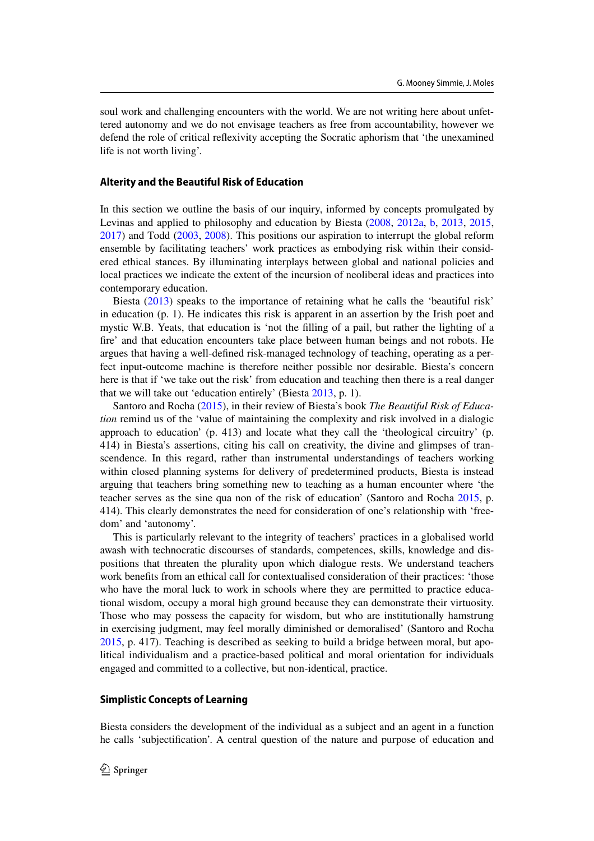soul work and challenging encounters with the world. We are not writing here about unfettered autonomy and we do not envisage teachers as free from accountability, however we defend the role of critical reflexivity accepting the Socratic aphorism that 'the unexamined life is not worth living'.

## **Alterity and the Beautiful Risk of Education**

In this section we outline the basis of our inquiry, informed by concepts promulgated by Levinas and applied to philosophy and education by Biesta (2008, 2012a, b, 2013, 2015, 2017) and Todd (2003, 2008). This positions our aspiration to interrupt the global reform ensemble by facilitating teachers' work practices as embodying risk within their considered ethical stances. By illuminating interplays between global and national policies and local practices we indicate the extent of the incursion of neoliberal ideas and practices into contemporary education.

Biesta (2013) speaks to the importance of retaining what he calls the 'beautiful risk' in education (p. 1). He indicates this risk is apparent in an assertion by the Irish poet and mystic W.B. Yeats, that education is 'not the filling of a pail, but rather the lighting of a fire' and that education encounters take place between human beings and not robots. He argues that having a well-defined risk-managed technology of teaching, operating as a perfect input-outcome machine is therefore neither possible nor desirable. Biesta's concern here is that if 'we take out the risk' from education and teaching then there is a real danger that we will take out 'education entirely' (Biesta 2013, p. 1).

Santoro and Rocha (2015), in their review of Biesta's book *The Beautiful Risk of Education* remind us of the 'value of maintaining the complexity and risk involved in a dialogic approach to education' (p. 413) and locate what they call the 'theological circuitry' (p. 414) in Biesta's assertions, citing his call on creativity, the divine and glimpses of transcendence. In this regard, rather than instrumental understandings of teachers working within closed planning systems for delivery of predetermined products, Biesta is instead arguing that teachers bring something new to teaching as a human encounter where 'the teacher serves as the sine qua non of the risk of education' (Santoro and Rocha 2015, p. 414). This clearly demonstrates the need for consideration of one's relationship with 'freedom' and 'autonomy'.

This is particularly relevant to the integrity of teachers' practices in a globalised world awash with technocratic discourses of standards, competences, skills, knowledge and dispositions that threaten the plurality upon which dialogue rests. We understand teachers work benefits from an ethical call for contextualised consideration of their practices: 'those who have the moral luck to work in schools where they are permitted to practice educational wisdom, occupy a moral high ground because they can demonstrate their virtuosity. Those who may possess the capacity for wisdom, but who are institutionally hamstrung in exercising judgment, may feel morally diminished or demoralised' (Santoro and Rocha 2015, p. 417). Teaching is described as seeking to build a bridge between moral, but apolitical individualism and a practice-based political and moral orientation for individuals engaged and committed to a collective, but non-identical, practice.

# **Simplistic Concepts of Learning**

Biesta considers the development of the individual as a subject and an agent in a function he calls 'subjectification'. A central question of the nature and purpose of education and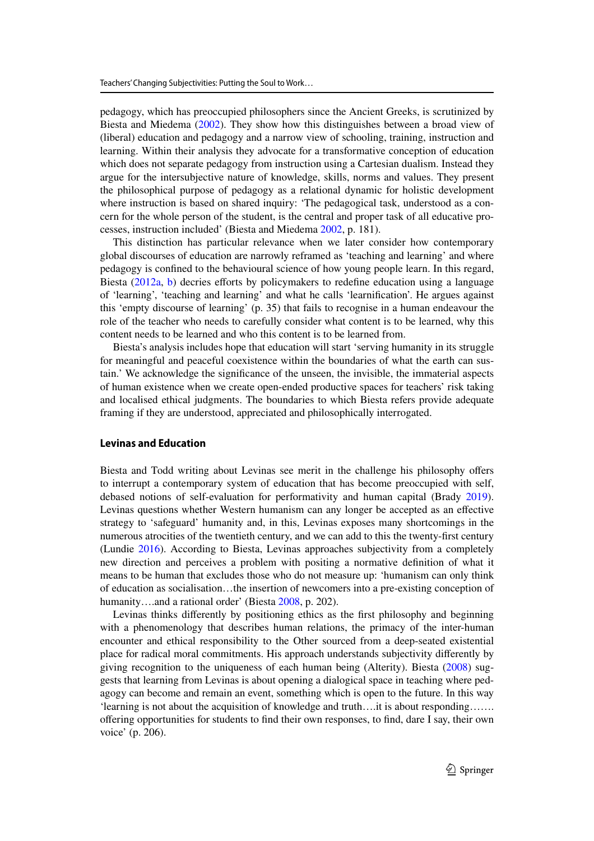pedagogy, which has preoccupied philosophers since the Ancient Greeks, is scrutinized by Biesta and Miedema (2002). They show how this distinguishes between a broad view of (liberal) education and pedagogy and a narrow view of schooling, training, instruction and learning. Within their analysis they advocate for a transformative conception of education which does not separate pedagogy from instruction using a Cartesian dualism. Instead they argue for the intersubjective nature of knowledge, skills, norms and values. They present the philosophical purpose of pedagogy as a relational dynamic for holistic development where instruction is based on shared inquiry: 'The pedagogical task, understood as a concern for the whole person of the student, is the central and proper task of all educative processes, instruction included' (Biesta and Miedema 2002, p. 181).

This distinction has particular relevance when we later consider how contemporary global discourses of education are narrowly reframed as 'teaching and learning' and where pedagogy is confined to the behavioural science of how young people learn. In this regard, Biesta (2012a, b) decries efforts by policymakers to redefine education using a language of 'learning', 'teaching and learning' and what he calls 'learnification'. He argues against this 'empty discourse of learning' (p. 35) that fails to recognise in a human endeavour the role of the teacher who needs to carefully consider what content is to be learned, why this content needs to be learned and who this content is to be learned from.

Biesta's analysis includes hope that education will start 'serving humanity in its struggle for meaningful and peaceful coexistence within the boundaries of what the earth can sustain.' We acknowledge the significance of the unseen, the invisible, the immaterial aspects of human existence when we create open-ended productive spaces for teachers' risk taking and localised ethical judgments. The boundaries to which Biesta refers provide adequate framing if they are understood, appreciated and philosophically interrogated.

# **Levinas and Education**

Biesta and Todd writing about Levinas see merit in the challenge his philosophy offers to interrupt a contemporary system of education that has become preoccupied with self, debased notions of self-evaluation for performativity and human capital (Brady 2019). Levinas questions whether Western humanism can any longer be accepted as an effective strategy to 'safeguard' humanity and, in this, Levinas exposes many shortcomings in the numerous atrocities of the twentieth century, and we can add to this the twenty-first century (Lundie 2016). According to Biesta, Levinas approaches subjectivity from a completely new direction and perceives a problem with positing a normative definition of what it means to be human that excludes those who do not measure up: 'humanism can only think of education as socialisation…the insertion of newcomers into a pre-existing conception of humanity….and a rational order' (Biesta 2008, p. 202).

Levinas thinks differently by positioning ethics as the first philosophy and beginning with a phenomenology that describes human relations, the primacy of the inter-human encounter and ethical responsibility to the Other sourced from a deep-seated existential place for radical moral commitments. His approach understands subjectivity differently by giving recognition to the uniqueness of each human being (Alterity). Biesta (2008) suggests that learning from Levinas is about opening a dialogical space in teaching where pedagogy can become and remain an event, something which is open to the future. In this way 'learning is not about the acquisition of knowledge and truth….it is about responding……. offering opportunities for students to find their own responses, to find, dare I say, their own voice' (p. 206).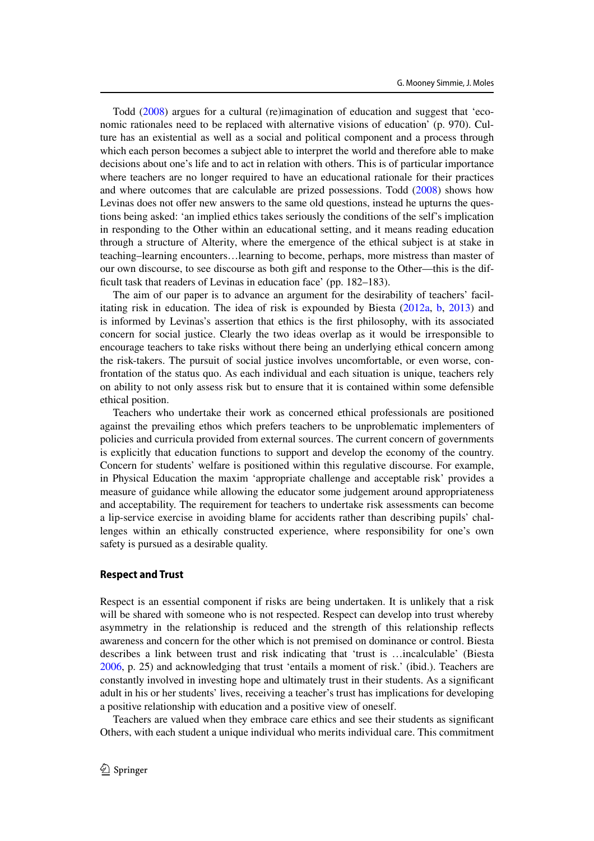Todd (2008) argues for a cultural (re)imagination of education and suggest that 'economic rationales need to be replaced with alternative visions of education' (p. 970). Culture has an existential as well as a social and political component and a process through which each person becomes a subject able to interpret the world and therefore able to make decisions about one's life and to act in relation with others. This is of particular importance where teachers are no longer required to have an educational rationale for their practices and where outcomes that are calculable are prized possessions. Todd (2008) shows how Levinas does not offer new answers to the same old questions, instead he upturns the questions being asked: 'an implied ethics takes seriously the conditions of the self's implication in responding to the Other within an educational setting, and it means reading education through a structure of Alterity, where the emergence of the ethical subject is at stake in teaching–learning encounters…learning to become, perhaps, more mistress than master of our own discourse, to see discourse as both gift and response to the Other—this is the difficult task that readers of Levinas in education face' (pp. 182–183).

The aim of our paper is to advance an argument for the desirability of teachers' facilitating risk in education. The idea of risk is expounded by Biesta (2012a, b, 2013) and is informed by Levinas's assertion that ethics is the first philosophy, with its associated concern for social justice. Clearly the two ideas overlap as it would be irresponsible to encourage teachers to take risks without there being an underlying ethical concern among the risk-takers. The pursuit of social justice involves uncomfortable, or even worse, confrontation of the status quo. As each individual and each situation is unique, teachers rely on ability to not only assess risk but to ensure that it is contained within some defensible ethical position.

Teachers who undertake their work as concerned ethical professionals are positioned against the prevailing ethos which prefers teachers to be unproblematic implementers of policies and curricula provided from external sources. The current concern of governments is explicitly that education functions to support and develop the economy of the country. Concern for students' welfare is positioned within this regulative discourse. For example, in Physical Education the maxim 'appropriate challenge and acceptable risk' provides a measure of guidance while allowing the educator some judgement around appropriateness and acceptability. The requirement for teachers to undertake risk assessments can become a lip-service exercise in avoiding blame for accidents rather than describing pupils' challenges within an ethically constructed experience, where responsibility for one's own safety is pursued as a desirable quality.

## **Respect and Trust**

Respect is an essential component if risks are being undertaken. It is unlikely that a risk will be shared with someone who is not respected. Respect can develop into trust whereby asymmetry in the relationship is reduced and the strength of this relationship reflects awareness and concern for the other which is not premised on dominance or control. Biesta describes a link between trust and risk indicating that 'trust is …incalculable' (Biesta 2006, p. 25) and acknowledging that trust 'entails a moment of risk.' (ibid.). Teachers are constantly involved in investing hope and ultimately trust in their students. As a significant adult in his or her students' lives, receiving a teacher's trust has implications for developing a positive relationship with education and a positive view of oneself.

Teachers are valued when they embrace care ethics and see their students as significant Others, with each student a unique individual who merits individual care. This commitment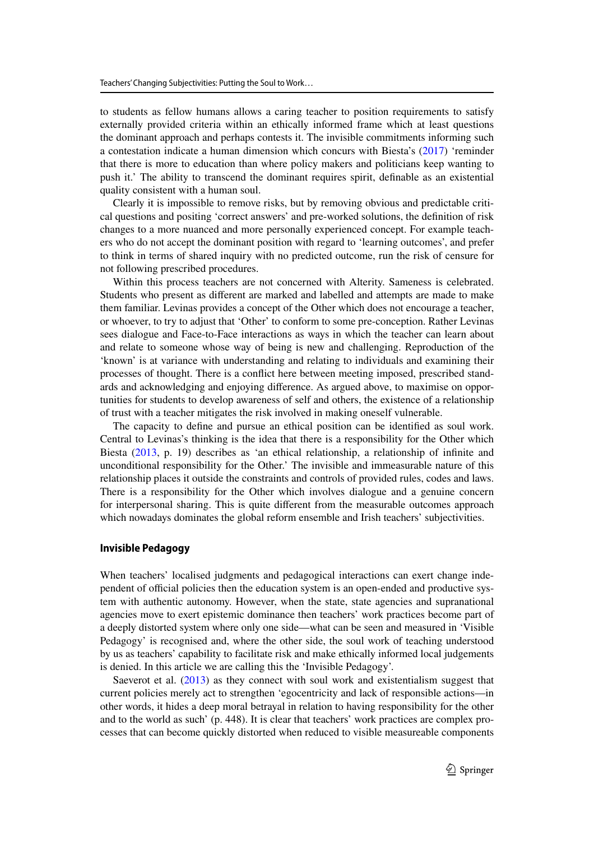to students as fellow humans allows a caring teacher to position requirements to satisfy externally provided criteria within an ethically informed frame which at least questions the dominant approach and perhaps contests it. The invisible commitments informing such a contestation indicate a human dimension which concurs with Biesta's (2017) 'reminder that there is more to education than where policy makers and politicians keep wanting to push it.' The ability to transcend the dominant requires spirit, definable as an existential quality consistent with a human soul.

Clearly it is impossible to remove risks, but by removing obvious and predictable critical questions and positing 'correct answers' and pre-worked solutions, the definition of risk changes to a more nuanced and more personally experienced concept. For example teachers who do not accept the dominant position with regard to 'learning outcomes', and prefer to think in terms of shared inquiry with no predicted outcome, run the risk of censure for not following prescribed procedures.

Within this process teachers are not concerned with Alterity. Sameness is celebrated. Students who present as different are marked and labelled and attempts are made to make them familiar. Levinas provides a concept of the Other which does not encourage a teacher, or whoever, to try to adjust that 'Other' to conform to some pre-conception. Rather Levinas sees dialogue and Face-to-Face interactions as ways in which the teacher can learn about and relate to someone whose way of being is new and challenging. Reproduction of the 'known' is at variance with understanding and relating to individuals and examining their processes of thought. There is a conflict here between meeting imposed, prescribed standards and acknowledging and enjoying difference. As argued above, to maximise on opportunities for students to develop awareness of self and others, the existence of a relationship of trust with a teacher mitigates the risk involved in making oneself vulnerable.

The capacity to define and pursue an ethical position can be identified as soul work. Central to Levinas's thinking is the idea that there is a responsibility for the Other which Biesta (2013, p. 19) describes as 'an ethical relationship, a relationship of infinite and unconditional responsibility for the Other.' The invisible and immeasurable nature of this relationship places it outside the constraints and controls of provided rules, codes and laws. There is a responsibility for the Other which involves dialogue and a genuine concern for interpersonal sharing. This is quite different from the measurable outcomes approach which nowadays dominates the global reform ensemble and Irish teachers' subjectivities.

#### **Invisible Pedagogy**

When teachers' localised judgments and pedagogical interactions can exert change independent of official policies then the education system is an open-ended and productive system with authentic autonomy. However, when the state, state agencies and supranational agencies move to exert epistemic dominance then teachers' work practices become part of a deeply distorted system where only one side—what can be seen and measured in 'Visible Pedagogy' is recognised and, where the other side, the soul work of teaching understood by us as teachers' capability to facilitate risk and make ethically informed local judgements is denied. In this article we are calling this the 'Invisible Pedagogy'.

Saeverot et al. (2013) as they connect with soul work and existentialism suggest that current policies merely act to strengthen 'egocentricity and lack of responsible actions—in other words, it hides a deep moral betrayal in relation to having responsibility for the other and to the world as such' (p. 448). It is clear that teachers' work practices are complex processes that can become quickly distorted when reduced to visible measureable components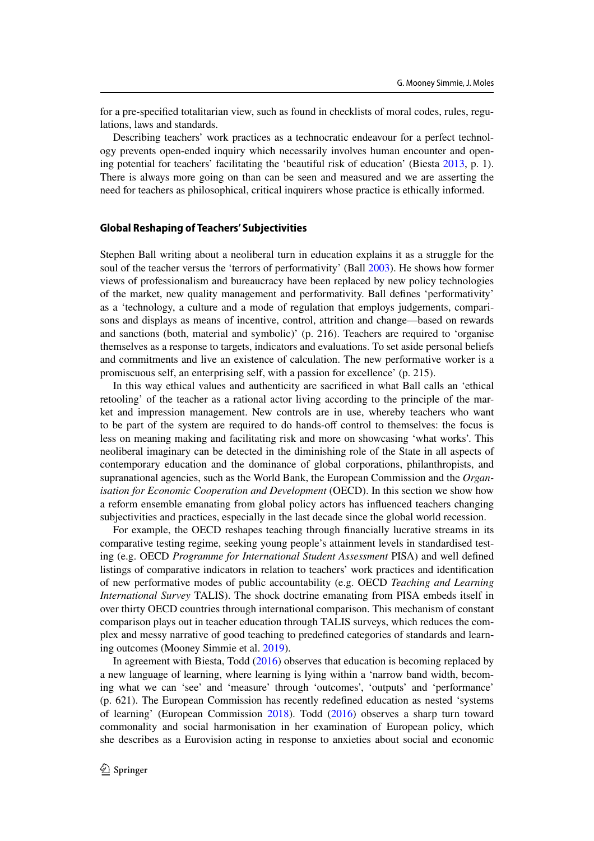for a pre-specified totalitarian view, such as found in checklists of moral codes, rules, regulations, laws and standards.

Describing teachers' work practices as a technocratic endeavour for a perfect technology prevents open-ended inquiry which necessarily involves human encounter and opening potential for teachers' facilitating the 'beautiful risk of education' (Biesta 2013, p. 1). There is always more going on than can be seen and measured and we are asserting the need for teachers as philosophical, critical inquirers whose practice is ethically informed.

## **Global Reshaping of Teachers' Subjectivities**

Stephen Ball writing about a neoliberal turn in education explains it as a struggle for the soul of the teacher versus the 'terrors of performativity' (Ball 2003). He shows how former views of professionalism and bureaucracy have been replaced by new policy technologies of the market, new quality management and performativity. Ball defines 'performativity' as a 'technology, a culture and a mode of regulation that employs judgements, comparisons and displays as means of incentive, control, attrition and change—based on rewards and sanctions (both, material and symbolic)' (p. 216). Teachers are required to 'organise themselves as a response to targets, indicators and evaluations. To set aside personal beliefs and commitments and live an existence of calculation. The new performative worker is a promiscuous self, an enterprising self, with a passion for excellence' (p. 215).

In this way ethical values and authenticity are sacrificed in what Ball calls an 'ethical retooling' of the teacher as a rational actor living according to the principle of the market and impression management. New controls are in use, whereby teachers who want to be part of the system are required to do hands-off control to themselves: the focus is less on meaning making and facilitating risk and more on showcasing 'what works'. This neoliberal imaginary can be detected in the diminishing role of the State in all aspects of contemporary education and the dominance of global corporations, philanthropists, and supranational agencies, such as the World Bank, the European Commission and the *Organisation for Economic Cooperation and Development* (OECD). In this section we show how a reform ensemble emanating from global policy actors has influenced teachers changing subjectivities and practices, especially in the last decade since the global world recession.

For example, the OECD reshapes teaching through financially lucrative streams in its comparative testing regime, seeking young people's attainment levels in standardised testing (e.g. OECD *Programme for International Student Assessment* PISA) and well defined listings of comparative indicators in relation to teachers' work practices and identification of new performative modes of public accountability (e.g. OECD *Teaching and Learning International Survey* TALIS). The shock doctrine emanating from PISA embeds itself in over thirty OECD countries through international comparison. This mechanism of constant comparison plays out in teacher education through TALIS surveys, which reduces the complex and messy narrative of good teaching to predefined categories of standards and learning outcomes (Mooney Simmie et al. 2019).

In agreement with Biesta, Todd (2016) observes that education is becoming replaced by a new language of learning, where learning is lying within a 'narrow band width, becoming what we can 'see' and 'measure' through 'outcomes', 'outputs' and 'performance' (p. 621). The European Commission has recently redefined education as nested 'systems of learning' (European Commission 2018). Todd (2016) observes a sharp turn toward commonality and social harmonisation in her examination of European policy, which she describes as a Eurovision acting in response to anxieties about social and economic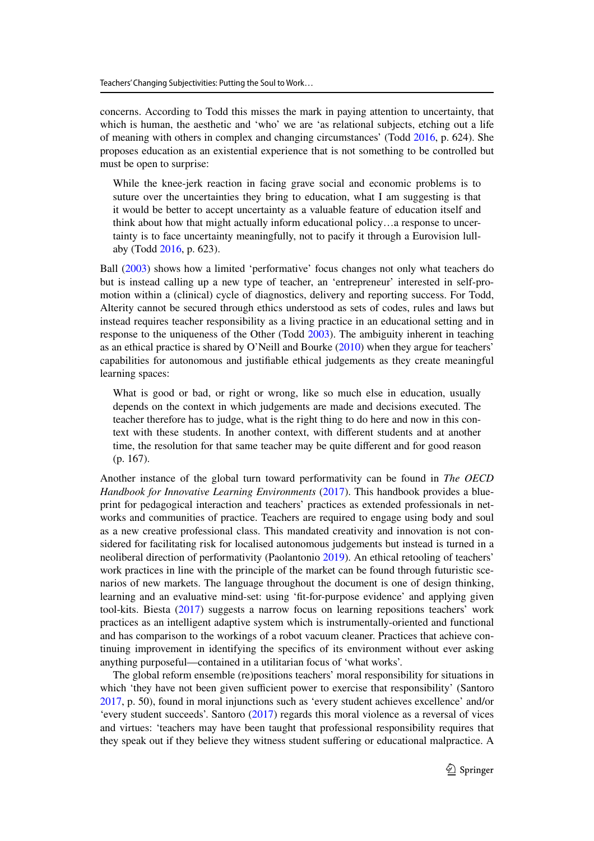concerns. According to Todd this misses the mark in paying attention to uncertainty, that which is human, the aesthetic and 'who' we are 'as relational subjects, etching out a life of meaning with others in complex and changing circumstances' (Todd 2016, p. 624). She proposes education as an existential experience that is not something to be controlled but must be open to surprise:

While the knee-jerk reaction in facing grave social and economic problems is to suture over the uncertainties they bring to education, what I am suggesting is that it would be better to accept uncertainty as a valuable feature of education itself and think about how that might actually inform educational policy…a response to uncertainty is to face uncertainty meaningfully, not to pacify it through a Eurovision lullaby (Todd 2016, p. 623).

Ball (2003) shows how a limited 'performative' focus changes not only what teachers do but is instead calling up a new type of teacher, an 'entrepreneur' interested in self-promotion within a (clinical) cycle of diagnostics, delivery and reporting success. For Todd, Alterity cannot be secured through ethics understood as sets of codes, rules and laws but instead requires teacher responsibility as a living practice in an educational setting and in response to the uniqueness of the Other (Todd 2003). The ambiguity inherent in teaching as an ethical practice is shared by O'Neill and Bourke (2010) when they argue for teachers' capabilities for autonomous and justifiable ethical judgements as they create meaningful learning spaces:

What is good or bad, or right or wrong, like so much else in education, usually depends on the context in which judgements are made and decisions executed. The teacher therefore has to judge, what is the right thing to do here and now in this context with these students. In another context, with different students and at another time, the resolution for that same teacher may be quite different and for good reason (p. 167).

Another instance of the global turn toward performativity can be found in *The OECD Handbook for Innovative Learning Environments* (2017). This handbook provides a blueprint for pedagogical interaction and teachers' practices as extended professionals in networks and communities of practice. Teachers are required to engage using body and soul as a new creative professional class. This mandated creativity and innovation is not considered for facilitating risk for localised autonomous judgements but instead is turned in a neoliberal direction of performativity (Paolantonio 2019). An ethical retooling of teachers' work practices in line with the principle of the market can be found through futuristic scenarios of new markets. The language throughout the document is one of design thinking, learning and an evaluative mind-set: using 'fit-for-purpose evidence' and applying given tool-kits. Biesta (2017) suggests a narrow focus on learning repositions teachers' work practices as an intelligent adaptive system which is instrumentally-oriented and functional and has comparison to the workings of a robot vacuum cleaner. Practices that achieve continuing improvement in identifying the specifics of its environment without ever asking anything purposeful—contained in a utilitarian focus of 'what works'.

The global reform ensemble (re)positions teachers' moral responsibility for situations in which 'they have not been given sufficient power to exercise that responsibility' (Santoro 2017, p. 50), found in moral injunctions such as 'every student achieves excellence' and/or 'every student succeeds'. Santoro (2017) regards this moral violence as a reversal of vices and virtues: 'teachers may have been taught that professional responsibility requires that they speak out if they believe they witness student suffering or educational malpractice. A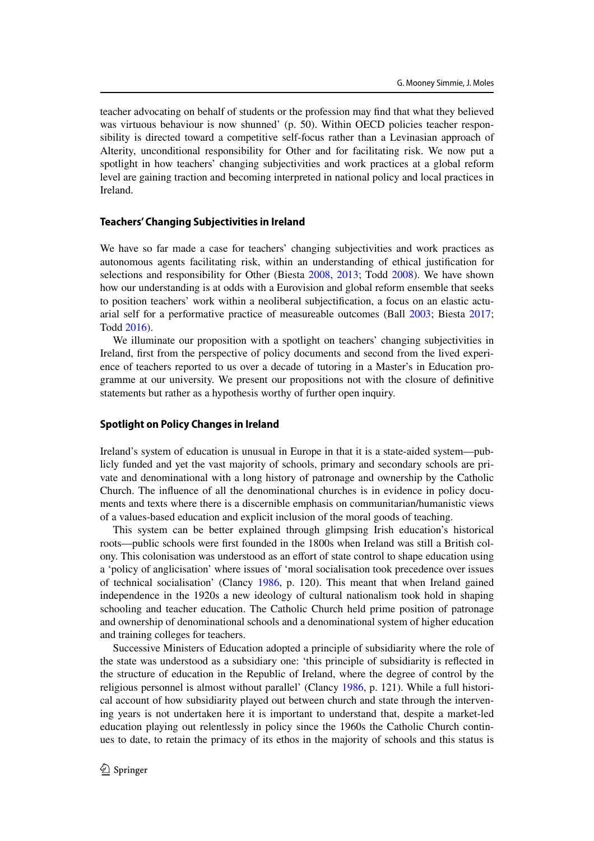teacher advocating on behalf of students or the profession may find that what they believed was virtuous behaviour is now shunned' (p. 50). Within OECD policies teacher responsibility is directed toward a competitive self-focus rather than a Levinasian approach of Alterity, unconditional responsibility for Other and for facilitating risk. We now put a spotlight in how teachers' changing subjectivities and work practices at a global reform level are gaining traction and becoming interpreted in national policy and local practices in Ireland.

## **Teachers' Changing Subjectivities in Ireland**

We have so far made a case for teachers' changing subjectivities and work practices as autonomous agents facilitating risk, within an understanding of ethical justification for selections and responsibility for Other (Biesta 2008, 2013; Todd 2008). We have shown how our understanding is at odds with a Eurovision and global reform ensemble that seeks to position teachers' work within a neoliberal subjectification, a focus on an elastic actuarial self for a performative practice of measureable outcomes (Ball 2003; Biesta 2017; Todd 2016).

We illuminate our proposition with a spotlight on teachers' changing subjectivities in Ireland, first from the perspective of policy documents and second from the lived experience of teachers reported to us over a decade of tutoring in a Master's in Education programme at our university. We present our propositions not with the closure of definitive statements but rather as a hypothesis worthy of further open inquiry.

# **Spotlight on Policy Changes in Ireland**

Ireland's system of education is unusual in Europe in that it is a state-aided system—publicly funded and yet the vast majority of schools, primary and secondary schools are private and denominational with a long history of patronage and ownership by the Catholic Church. The influence of all the denominational churches is in evidence in policy documents and texts where there is a discernible emphasis on communitarian/humanistic views of a values-based education and explicit inclusion of the moral goods of teaching.

This system can be better explained through glimpsing Irish education's historical roots—public schools were first founded in the 1800s when Ireland was still a British colony. This colonisation was understood as an effort of state control to shape education using a 'policy of anglicisation' where issues of 'moral socialisation took precedence over issues of technical socialisation' (Clancy 1986, p. 120). This meant that when Ireland gained independence in the 1920s a new ideology of cultural nationalism took hold in shaping schooling and teacher education. The Catholic Church held prime position of patronage and ownership of denominational schools and a denominational system of higher education and training colleges for teachers.

Successive Ministers of Education adopted a principle of subsidiarity where the role of the state was understood as a subsidiary one: 'this principle of subsidiarity is reflected in the structure of education in the Republic of Ireland, where the degree of control by the religious personnel is almost without parallel' (Clancy 1986, p. 121). While a full historical account of how subsidiarity played out between church and state through the intervening years is not undertaken here it is important to understand that, despite a market-led education playing out relentlessly in policy since the 1960s the Catholic Church continues to date, to retain the primacy of its ethos in the majority of schools and this status is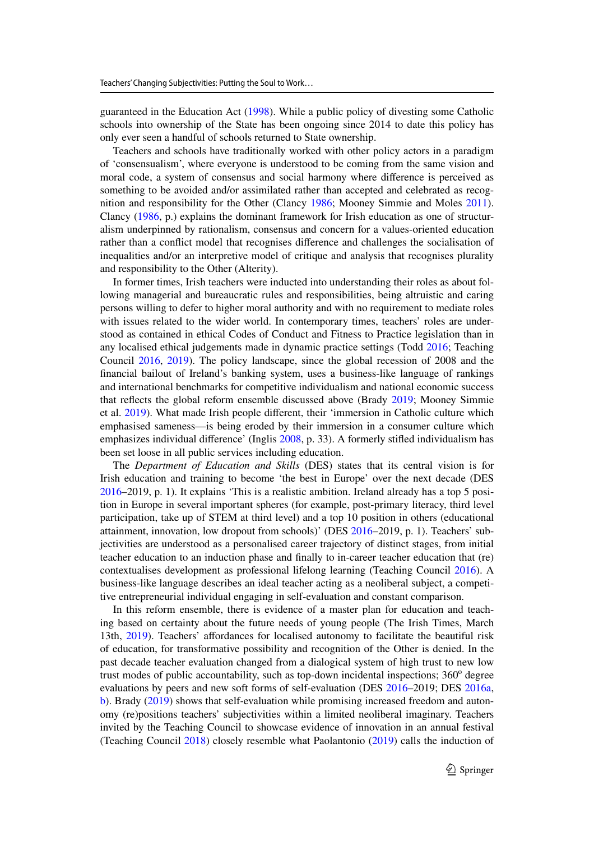guaranteed in the Education Act (1998). While a public policy of divesting some Catholic schools into ownership of the State has been ongoing since 2014 to date this policy has only ever seen a handful of schools returned to State ownership.

Teachers and schools have traditionally worked with other policy actors in a paradigm of 'consensualism', where everyone is understood to be coming from the same vision and moral code, a system of consensus and social harmony where difference is perceived as something to be avoided and/or assimilated rather than accepted and celebrated as recognition and responsibility for the Other (Clancy 1986; Mooney Simmie and Moles 2011). Clancy (1986, p.) explains the dominant framework for Irish education as one of structuralism underpinned by rationalism, consensus and concern for a values-oriented education rather than a conflict model that recognises difference and challenges the socialisation of inequalities and/or an interpretive model of critique and analysis that recognises plurality and responsibility to the Other (Alterity).

In former times, Irish teachers were inducted into understanding their roles as about following managerial and bureaucratic rules and responsibilities, being altruistic and caring persons willing to defer to higher moral authority and with no requirement to mediate roles with issues related to the wider world. In contemporary times, teachers' roles are understood as contained in ethical Codes of Conduct and Fitness to Practice legislation than in any localised ethical judgements made in dynamic practice settings (Todd 2016; Teaching Council 2016, 2019). The policy landscape, since the global recession of 2008 and the financial bailout of Ireland's banking system, uses a business-like language of rankings and international benchmarks for competitive individualism and national economic success that reflects the global reform ensemble discussed above (Brady 2019; Mooney Simmie et al. 2019). What made Irish people different, their 'immersion in Catholic culture which emphasised sameness—is being eroded by their immersion in a consumer culture which emphasizes individual difference' (Inglis 2008, p. 33). A formerly stifled individualism has been set loose in all public services including education.

The *Department of Education and Skills* (DES) states that its central vision is for Irish education and training to become 'the best in Europe' over the next decade (DES 2016–2019, p. 1). It explains 'This is a realistic ambition. Ireland already has a top 5 position in Europe in several important spheres (for example, post-primary literacy, third level participation, take up of STEM at third level) and a top 10 position in others (educational attainment, innovation, low dropout from schools)' (DES 2016–2019, p. 1). Teachers' subjectivities are understood as a personalised career trajectory of distinct stages, from initial teacher education to an induction phase and finally to in-career teacher education that (re) contextualises development as professional lifelong learning (Teaching Council 2016). A business-like language describes an ideal teacher acting as a neoliberal subject, a competitive entrepreneurial individual engaging in self-evaluation and constant comparison.

In this reform ensemble, there is evidence of a master plan for education and teaching based on certainty about the future needs of young people (The Irish Times, March 13th, 2019). Teachers' affordances for localised autonomy to facilitate the beautiful risk of education, for transformative possibility and recognition of the Other is denied. In the past decade teacher evaluation changed from a dialogical system of high trust to new low trust modes of public accountability, such as top-down incidental inspections; 360° degree evaluations by peers and new soft forms of self-evaluation (DES 2016–2019; DES 2016a, b). Brady (2019) shows that self-evaluation while promising increased freedom and autonomy (re)positions teachers' subjectivities within a limited neoliberal imaginary. Teachers invited by the Teaching Council to showcase evidence of innovation in an annual festival (Teaching Council 2018) closely resemble what Paolantonio (2019) calls the induction of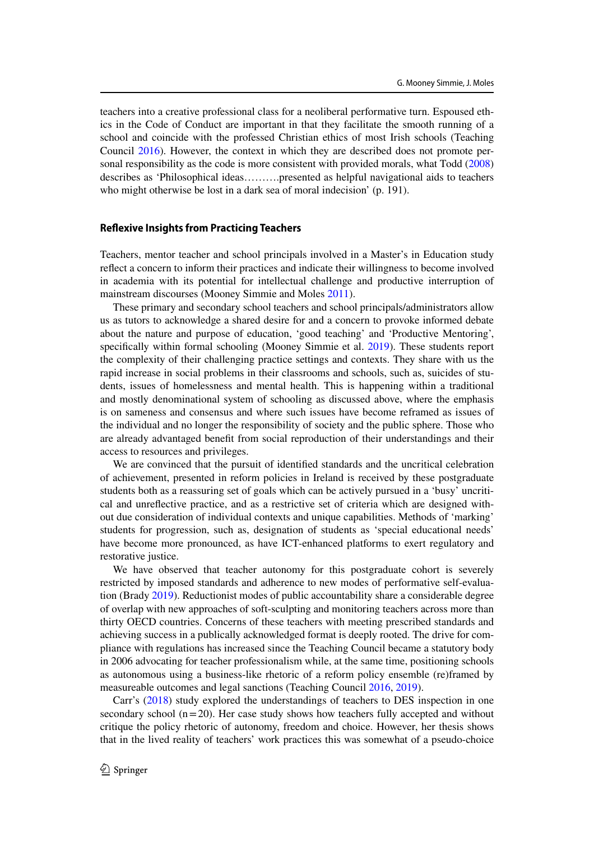teachers into a creative professional class for a neoliberal performative turn. Espoused ethics in the Code of Conduct are important in that they facilitate the smooth running of a school and coincide with the professed Christian ethics of most Irish schools (Teaching Council 2016). However, the context in which they are described does not promote personal responsibility as the code is more consistent with provided morals, what Todd (2008) describes as 'Philosophical ideas……….presented as helpful navigational aids to teachers who might otherwise be lost in a dark sea of moral indecision' (p. 191).

## **Reflexive Insights from Practicing Teachers**

Teachers, mentor teacher and school principals involved in a Master's in Education study reflect a concern to inform their practices and indicate their willingness to become involved in academia with its potential for intellectual challenge and productive interruption of mainstream discourses (Mooney Simmie and Moles 2011).

These primary and secondary school teachers and school principals/administrators allow us as tutors to acknowledge a shared desire for and a concern to provoke informed debate about the nature and purpose of education, 'good teaching' and 'Productive Mentoring', specifically within formal schooling (Mooney Simmie et al. 2019). These students report the complexity of their challenging practice settings and contexts. They share with us the rapid increase in social problems in their classrooms and schools, such as, suicides of students, issues of homelessness and mental health. This is happening within a traditional and mostly denominational system of schooling as discussed above, where the emphasis is on sameness and consensus and where such issues have become reframed as issues of the individual and no longer the responsibility of society and the public sphere. Those who are already advantaged benefit from social reproduction of their understandings and their access to resources and privileges.

We are convinced that the pursuit of identified standards and the uncritical celebration of achievement, presented in reform policies in Ireland is received by these postgraduate students both as a reassuring set of goals which can be actively pursued in a 'busy' uncritical and unreflective practice, and as a restrictive set of criteria which are designed without due consideration of individual contexts and unique capabilities. Methods of 'marking' students for progression, such as, designation of students as 'special educational needs' have become more pronounced, as have ICT-enhanced platforms to exert regulatory and restorative justice.

We have observed that teacher autonomy for this postgraduate cohort is severely restricted by imposed standards and adherence to new modes of performative self-evaluation (Brady 2019). Reductionist modes of public accountability share a considerable degree of overlap with new approaches of soft-sculpting and monitoring teachers across more than thirty OECD countries. Concerns of these teachers with meeting prescribed standards and achieving success in a publically acknowledged format is deeply rooted. The drive for compliance with regulations has increased since the Teaching Council became a statutory body in 2006 advocating for teacher professionalism while, at the same time, positioning schools as autonomous using a business-like rhetoric of a reform policy ensemble (re)framed by measureable outcomes and legal sanctions (Teaching Council 2016, 2019).

Carr's (2018) study explored the understandings of teachers to DES inspection in one secondary school  $(n=20)$ . Her case study shows how teachers fully accepted and without critique the policy rhetoric of autonomy, freedom and choice. However, her thesis shows that in the lived reality of teachers' work practices this was somewhat of a pseudo-choice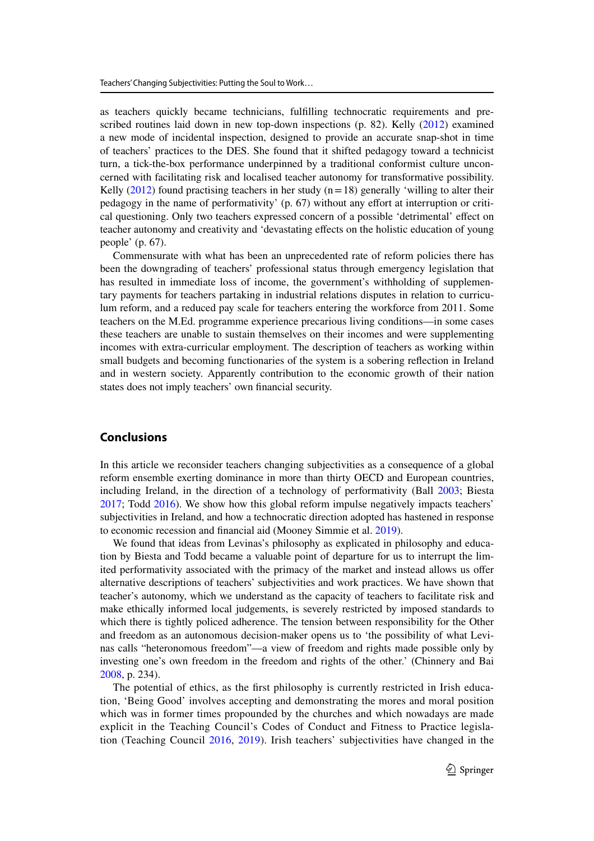as teachers quickly became technicians, fulfilling technocratic requirements and prescribed routines laid down in new top-down inspections (p. 82). Kelly (2012) examined a new mode of incidental inspection, designed to provide an accurate snap-shot in time of teachers' practices to the DES. She found that it shifted pedagogy toward a technicist turn, a tick-the-box performance underpinned by a traditional conformist culture unconcerned with facilitating risk and localised teacher autonomy for transformative possibility. Kelly  $(2012)$  found practising teachers in her study  $(n=18)$  generally 'willing to alter their pedagogy in the name of performativity' (p. 67) without any effort at interruption or critical questioning. Only two teachers expressed concern of a possible 'detrimental' effect on teacher autonomy and creativity and 'devastating effects on the holistic education of young people' (p. 67).

Commensurate with what has been an unprecedented rate of reform policies there has been the downgrading of teachers' professional status through emergency legislation that has resulted in immediate loss of income, the government's withholding of supplementary payments for teachers partaking in industrial relations disputes in relation to curriculum reform, and a reduced pay scale for teachers entering the workforce from 2011. Some teachers on the M.Ed. programme experience precarious living conditions—in some cases these teachers are unable to sustain themselves on their incomes and were supplementing incomes with extra-curricular employment. The description of teachers as working within small budgets and becoming functionaries of the system is a sobering reflection in Ireland and in western society. Apparently contribution to the economic growth of their nation states does not imply teachers' own financial security.

# **Conclusions**

In this article we reconsider teachers changing subjectivities as a consequence of a global reform ensemble exerting dominance in more than thirty OECD and European countries, including Ireland, in the direction of a technology of performativity (Ball 2003; Biesta 2017; Todd 2016). We show how this global reform impulse negatively impacts teachers' subjectivities in Ireland, and how a technocratic direction adopted has hastened in response to economic recession and financial aid (Mooney Simmie et al. 2019).

We found that ideas from Levinas's philosophy as explicated in philosophy and education by Biesta and Todd became a valuable point of departure for us to interrupt the limited performativity associated with the primacy of the market and instead allows us offer alternative descriptions of teachers' subjectivities and work practices. We have shown that teacher's autonomy, which we understand as the capacity of teachers to facilitate risk and make ethically informed local judgements, is severely restricted by imposed standards to which there is tightly policed adherence. The tension between responsibility for the Other and freedom as an autonomous decision-maker opens us to 'the possibility of what Levinas calls "heteronomous freedom"—a view of freedom and rights made possible only by investing one's own freedom in the freedom and rights of the other.' (Chinnery and Bai 2008, p. 234).

The potential of ethics, as the first philosophy is currently restricted in Irish education, 'Being Good' involves accepting and demonstrating the mores and moral position which was in former times propounded by the churches and which nowadays are made explicit in the Teaching Council's Codes of Conduct and Fitness to Practice legislation (Teaching Council 2016, 2019). Irish teachers' subjectivities have changed in the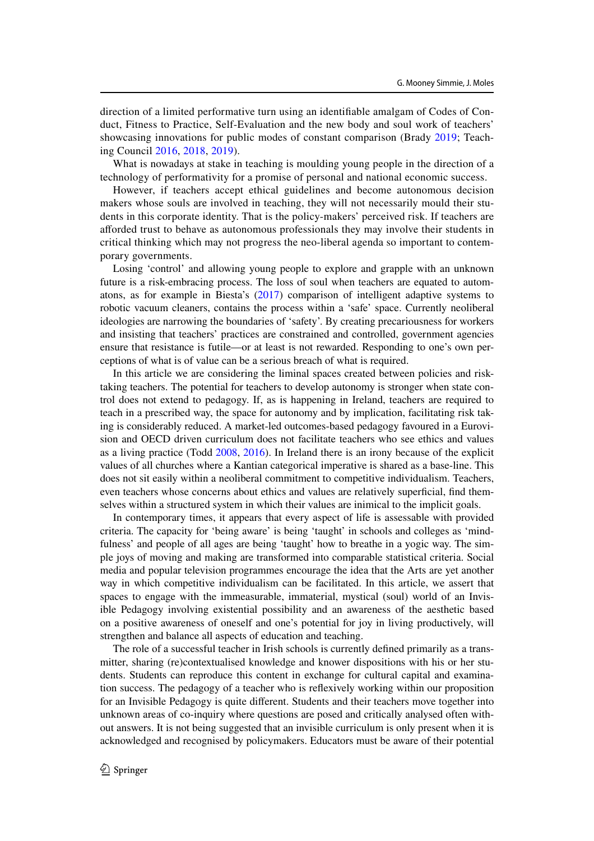direction of a limited performative turn using an identifiable amalgam of Codes of Conduct, Fitness to Practice, Self-Evaluation and the new body and soul work of teachers' showcasing innovations for public modes of constant comparison (Brady 2019; Teaching Council 2016, 2018, 2019).

What is nowadays at stake in teaching is moulding young people in the direction of a technology of performativity for a promise of personal and national economic success.

However, if teachers accept ethical guidelines and become autonomous decision makers whose souls are involved in teaching, they will not necessarily mould their students in this corporate identity. That is the policy-makers' perceived risk. If teachers are afforded trust to behave as autonomous professionals they may involve their students in critical thinking which may not progress the neo-liberal agenda so important to contemporary governments.

Losing 'control' and allowing young people to explore and grapple with an unknown future is a risk-embracing process. The loss of soul when teachers are equated to automatons, as for example in Biesta's (2017) comparison of intelligent adaptive systems to robotic vacuum cleaners, contains the process within a 'safe' space. Currently neoliberal ideologies are narrowing the boundaries of 'safety'. By creating precariousness for workers and insisting that teachers' practices are constrained and controlled, government agencies ensure that resistance is futile—or at least is not rewarded. Responding to one's own perceptions of what is of value can be a serious breach of what is required.

In this article we are considering the liminal spaces created between policies and risktaking teachers. The potential for teachers to develop autonomy is stronger when state control does not extend to pedagogy. If, as is happening in Ireland, teachers are required to teach in a prescribed way, the space for autonomy and by implication, facilitating risk taking is considerably reduced. A market-led outcomes-based pedagogy favoured in a Eurovision and OECD driven curriculum does not facilitate teachers who see ethics and values as a living practice (Todd 2008, 2016). In Ireland there is an irony because of the explicit values of all churches where a Kantian categorical imperative is shared as a base-line. This does not sit easily within a neoliberal commitment to competitive individualism. Teachers, even teachers whose concerns about ethics and values are relatively superficial, find themselves within a structured system in which their values are inimical to the implicit goals.

In contemporary times, it appears that every aspect of life is assessable with provided criteria. The capacity for 'being aware' is being 'taught' in schools and colleges as 'mindfulness' and people of all ages are being 'taught' how to breathe in a yogic way. The simple joys of moving and making are transformed into comparable statistical criteria. Social media and popular television programmes encourage the idea that the Arts are yet another way in which competitive individualism can be facilitated. In this article, we assert that spaces to engage with the immeasurable, immaterial, mystical (soul) world of an Invisible Pedagogy involving existential possibility and an awareness of the aesthetic based on a positive awareness of oneself and one's potential for joy in living productively, will strengthen and balance all aspects of education and teaching.

The role of a successful teacher in Irish schools is currently defined primarily as a transmitter, sharing (re)contextualised knowledge and knower dispositions with his or her students. Students can reproduce this content in exchange for cultural capital and examination success. The pedagogy of a teacher who is reflexively working within our proposition for an Invisible Pedagogy is quite different. Students and their teachers move together into unknown areas of co-inquiry where questions are posed and critically analysed often without answers. It is not being suggested that an invisible curriculum is only present when it is acknowledged and recognised by policymakers. Educators must be aware of their potential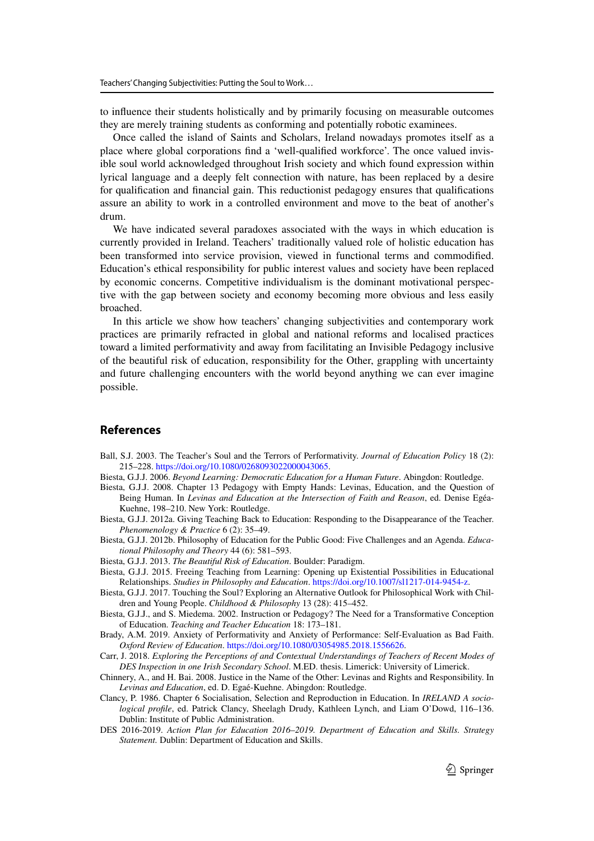to influence their students holistically and by primarily focusing on measurable outcomes they are merely training students as conforming and potentially robotic examinees.

Once called the island of Saints and Scholars, Ireland nowadays promotes itself as a place where global corporations find a 'well-qualified workforce'. The once valued invisible soul world acknowledged throughout Irish society and which found expression within lyrical language and a deeply felt connection with nature, has been replaced by a desire for qualification and financial gain. This reductionist pedagogy ensures that qualifications assure an ability to work in a controlled environment and move to the beat of another's drum.

We have indicated several paradoxes associated with the ways in which education is currently provided in Ireland. Teachers' traditionally valued role of holistic education has been transformed into service provision, viewed in functional terms and commodified. Education's ethical responsibility for public interest values and society have been replaced by economic concerns. Competitive individualism is the dominant motivational perspective with the gap between society and economy becoming more obvious and less easily broached.

In this article we show how teachers' changing subjectivities and contemporary work practices are primarily refracted in global and national reforms and localised practices toward a limited performativity and away from facilitating an Invisible Pedagogy inclusive of the beautiful risk of education, responsibility for the Other, grappling with uncertainty and future challenging encounters with the world beyond anything we can ever imagine possible.

# **References**

- Ball, S.J. 2003. The Teacher's Soul and the Terrors of Performativity. *Journal of Education Policy* 18 (2): 215–228. https://doi.org/10.1080/0268093022000043065.
- Biesta, G.J.J. 2006. *Beyond Learning: Democratic Education for a Human Future*. Abingdon: Routledge.
- Biesta, G.J.J. 2008. Chapter 13 Pedagogy with Empty Hands: Levinas, Education, and the Question of Being Human. In *Levinas and Education at the Intersection of Faith and Reason*, ed. Denise Egéa-Kuehne, 198–210. New York: Routledge.
- Biesta, G.J.J. 2012a. Giving Teaching Back to Education: Responding to the Disappearance of the Teacher. *Phenomenology & Practice* 6 (2): 35–49.
- Biesta, G.J.J. 2012b. Philosophy of Education for the Public Good: Five Challenges and an Agenda. *Educational Philosophy and Theory* 44 (6): 581–593.
- Biesta, G.J.J. 2013. *The Beautiful Risk of Education*. Boulder: Paradigm.
- Biesta, G.J.J. 2015. Freeing Teaching from Learning: Opening up Existential Possibilities in Educational Relationships. *Studies in Philosophy and Education*. https://doi.org/10.1007/sl1217-014-9454-z.
- Biesta, G.J.J. 2017. Touching the Soul? Exploring an Alternative Outlook for Philosophical Work with Children and Young People. *Childhood & Philosophy* 13 (28): 415–452.
- Biesta, G.J.J., and S. Miedema. 2002. Instruction or Pedagogy? The Need for a Transformative Conception of Education. *Teaching and Teacher Education* 18: 173–181.
- Brady, A.M. 2019. Anxiety of Performativity and Anxiety of Performance: Self-Evaluation as Bad Faith. *Oxford Review of Education*. https://doi.org/10.1080/03054985.2018.1556626.
- Carr, J. 2018. *Exploring the Perceptions of and Contextual Understandings of Teachers of Recent Modes of DES Inspection in one Irish Secondary School*. M.ED. thesis. Limerick: University of Limerick.
- Chinnery, A., and H. Bai. 2008. Justice in the Name of the Other: Levinas and Rights and Responsibility. In *Levinas and Education*, ed. D. Egaé-Kuehne. Abingdon: Routledge.
- Clancy, P. 1986. Chapter 6 Socialisation, Selection and Reproduction in Education. In *IRELAND A sociological profile*, ed. Patrick Clancy, Sheelagh Drudy, Kathleen Lynch, and Liam O'Dowd, 116–136. Dublin: Institute of Public Administration.
- DES 2016-2019. *Action Plan for Education 2016*–*2019. Department of Education and Skills. Strategy Statement.* Dublin: Department of Education and Skills.